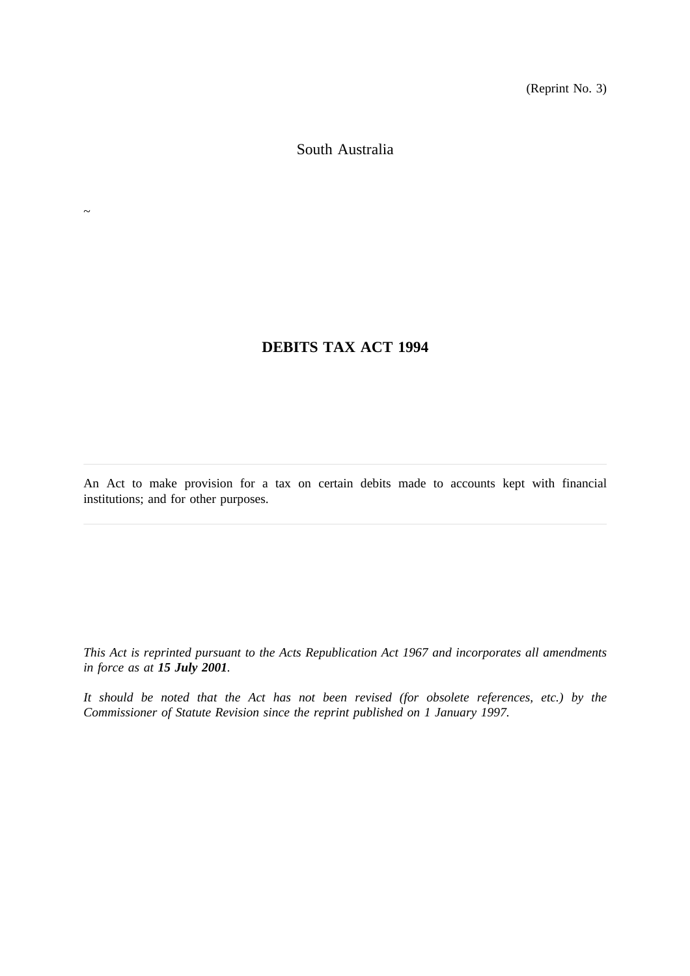(Reprint No. 3)

South Australia

 $\sim$ 

## **DEBITS TAX ACT 1994**

An Act to make provision for a tax on certain debits made to accounts kept with financial institutions; and for other purposes.

*This Act is reprinted pursuant to the Acts Republication Act 1967 and incorporates all amendments in force as at 15 July 2001.*

*It should be noted that the Act has not been revised (for obsolete references, etc.) by the Commissioner of Statute Revision since the reprint published on 1 January 1997.*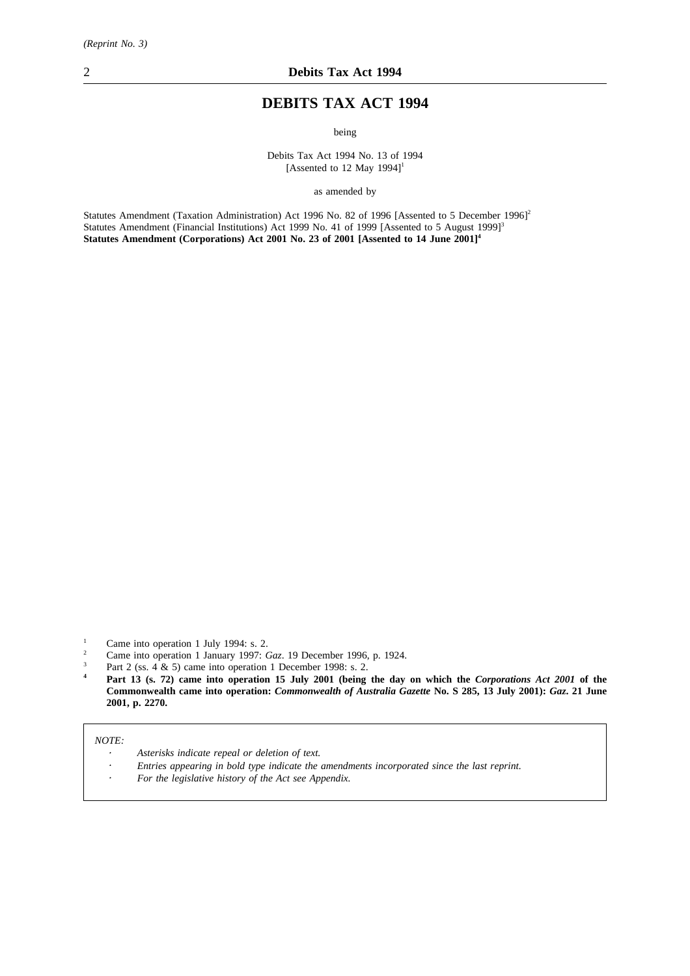# **DEBITS TAX ACT 1994**

being

Debits Tax Act 1994 No. 13 of 1994 [Assented to 12 May 1994]<sup>1</sup>

as amended by

Statutes Amendment (Taxation Administration) Act 1996 No. 82 of 1996 [Assented to 5 December 1996]<sup>2</sup> Statutes Amendment (Financial Institutions) Act 1999 No. 41 of 1999 [Assented to 5 August 1999]<sup>3</sup> Statutes Amendment (Corporations) Act 2001 No. 23 of 2001 [Assented to 14 June 2001]<sup>4</sup>

- <sup>2</sup> Came into operation 1 January 1997: *Gaz*. 19 December 1996, p. 1924.
- <sup>3</sup> Part 2 (ss.  $4 \& 5$ ) came into operation 1 December 1998: s. 2.<br><sup>4</sup> Part 13 (s. 72) came into operation 15 July 2001 (being
- **<sup>4</sup> Part 13 (s. 72) came into operation 15 July 2001 (being the day on which the** *Corporations Act 2001* **of the Commonwealth came into operation:** *Commonwealth of Australia Gazette* **No. S 285, 13 July 2001):** *Gaz***. 21 June 2001, p. 2270.**

*NOTE:*

- *Asterisks indicate repeal or deletion of text.*
- *Entries appearing in bold type indicate the amendments incorporated since the last reprint.*
- *For the legislative history of the Act see Appendix.*

 $\frac{1}{2}$  Came into operation 1 July 1994: s. 2.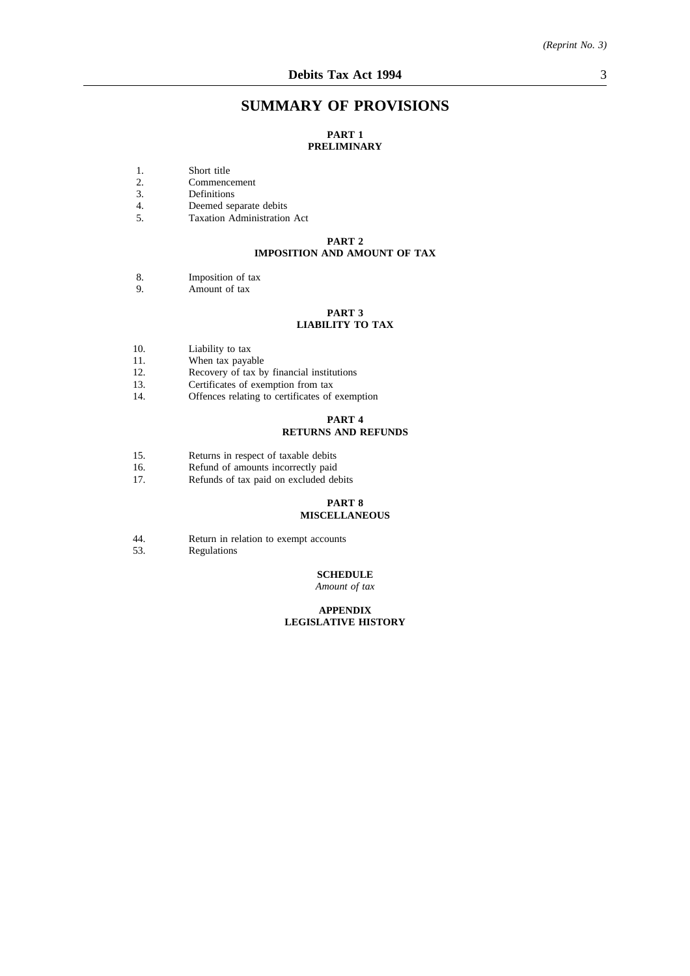### **SUMMARY OF PROVISIONS**

#### **PART 1 PRELIMINARY**

- 1. Short title
- 2. Commencement<br>3. Definitions
- 3. Definitions<br>4. Deemed sep
- Deemed separate debits
- 5. Taxation Administration Act

#### **PART 2 IMPOSITION AND AMOUNT OF TAX**

- 8. Imposition of tax
- 9. Amount of tax

#### **PART 3 LIABILITY TO TAX**

- 10. Liability to tax
- 11. When tax payable<br>12. Recovery of tax by
- 12. Recovery of tax by financial institutions<br>13. Certificates of exemption from tax
- Certificates of exemption from tax
- 14. Offences relating to certificates of exemption

#### **PART 4**

#### **RETURNS AND REFUNDS**

- 15. Returns in respect of taxable debits<br>16. Refund of amounts incorrectly paid
- 16. Refund of amounts incorrectly paid<br>17. Refunds of tax paid on excluded de
- Refunds of tax paid on excluded debits

# **PART 8**

### **MISCELLANEOUS**

- 44. Return in relation to exempt accounts<br>53. Regulations
- **Regulations**

#### **SCHEDULE**

*Amount of tax*

#### **APPENDIX LEGISLATIVE HISTORY**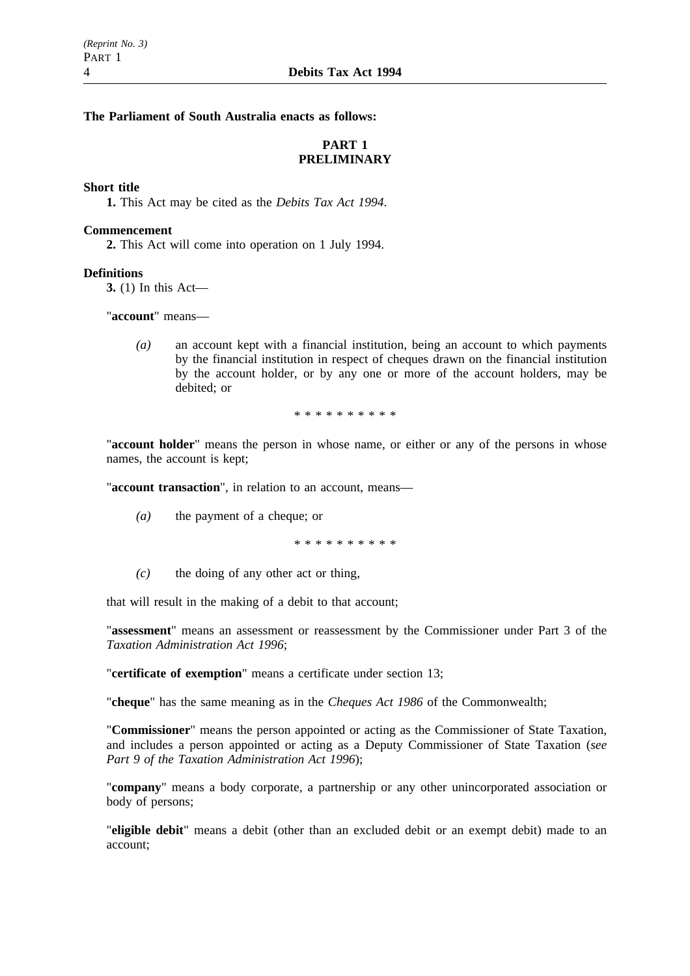**The Parliament of South Australia enacts as follows:**

### **PART 1 PRELIMINARY**

### **Short title**

**1.** This Act may be cited as the *Debits Tax Act 1994*.

#### **Commencement**

**2.** This Act will come into operation on 1 July 1994.

#### **Definitions**

**3.** (1) In this Act—

"**account**" means—

*(a)* an account kept with a financial institution, being an account to which payments by the financial institution in respect of cheques drawn on the financial institution by the account holder, or by any one or more of the account holders, may be debited; or

\*\*\*\*\*\*\*\*\*\*

"**account holder**" means the person in whose name, or either or any of the persons in whose names, the account is kept;

"**account transaction**", in relation to an account, means—

*(a)* the payment of a cheque; or

\*\*\*\*\*\*\*\*\*\*

*(c)* the doing of any other act or thing,

that will result in the making of a debit to that account;

"**assessment**" means an assessment or reassessment by the Commissioner under Part 3 of the *Taxation Administration Act 1996*;

"**certificate of exemption**" means a certificate under section 13;

"**cheque**" has the same meaning as in the *Cheques Act 1986* of the Commonwealth;

"**Commissioner**" means the person appointed or acting as the Commissioner of State Taxation, and includes a person appointed or acting as a Deputy Commissioner of State Taxation (*see Part 9 of the Taxation Administration Act 1996*);

"**company**" means a body corporate, a partnership or any other unincorporated association or body of persons;

"**eligible debit**" means a debit (other than an excluded debit or an exempt debit) made to an account;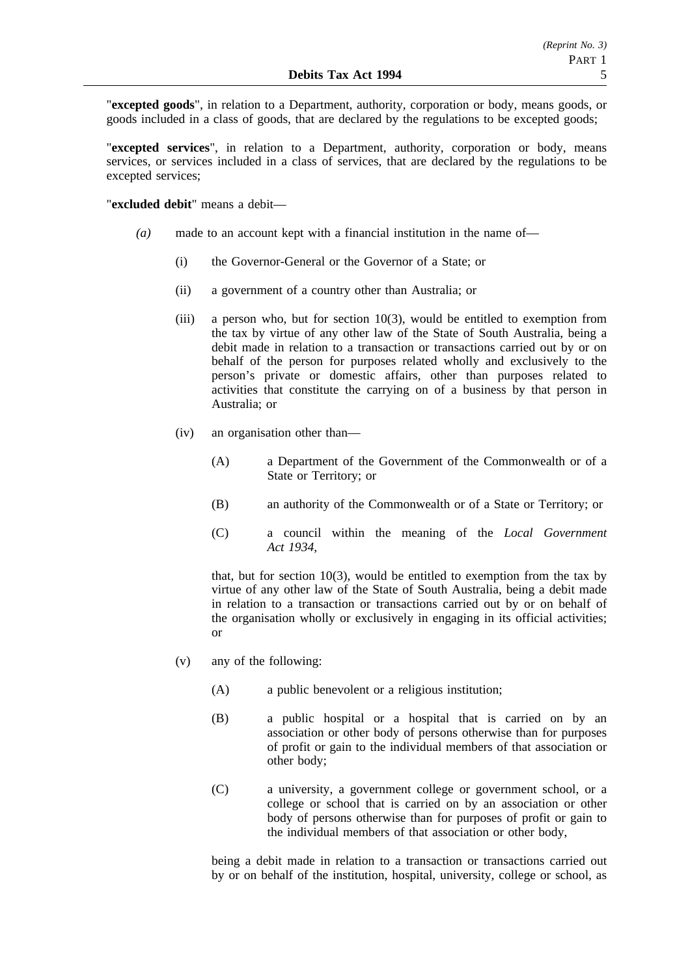"**excepted goods**", in relation to a Department, authority, corporation or body, means goods, or goods included in a class of goods, that are declared by the regulations to be excepted goods;

"**excepted services**", in relation to a Department, authority, corporation or body, means services, or services included in a class of services, that are declared by the regulations to be excepted services;

"**excluded debit**" means a debit—

- *(a)* made to an account kept with a financial institution in the name of—
	- (i) the Governor-General or the Governor of a State; or
	- (ii) a government of a country other than Australia; or
	- (iii) a person who, but for section 10(3), would be entitled to exemption from the tax by virtue of any other law of the State of South Australia, being a debit made in relation to a transaction or transactions carried out by or on behalf of the person for purposes related wholly and exclusively to the person's private or domestic affairs, other than purposes related to activities that constitute the carrying on of a business by that person in Australia; or
	- (iv) an organisation other than—
		- (A) a Department of the Government of the Commonwealth or of a State or Territory; or
		- (B) an authority of the Commonwealth or of a State or Territory; or
		- (C) a council within the meaning of the *Local Government Act 1934*,

that, but for section  $10(3)$ , would be entitled to exemption from the tax by virtue of any other law of the State of South Australia, being a debit made in relation to a transaction or transactions carried out by or on behalf of the organisation wholly or exclusively in engaging in its official activities; or

- (v) any of the following:
	- (A) a public benevolent or a religious institution;
	- (B) a public hospital or a hospital that is carried on by an association or other body of persons otherwise than for purposes of profit or gain to the individual members of that association or other body;
	- (C) a university, a government college or government school, or a college or school that is carried on by an association or other body of persons otherwise than for purposes of profit or gain to the individual members of that association or other body,

being a debit made in relation to a transaction or transactions carried out by or on behalf of the institution, hospital, university, college or school, as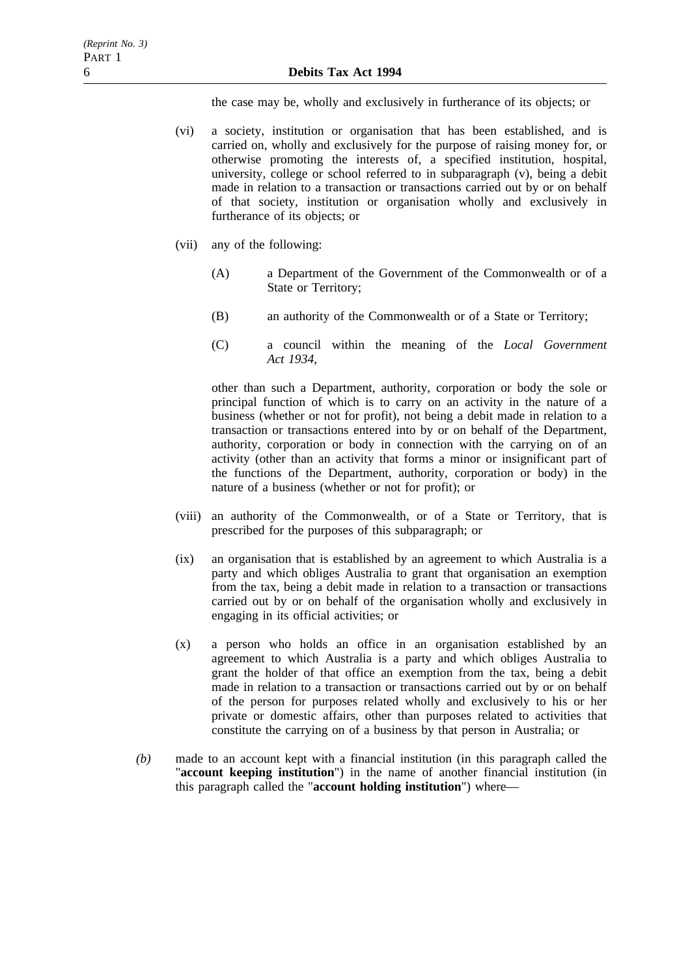the case may be, wholly and exclusively in furtherance of its objects; or

- (vi) a society, institution or organisation that has been established, and is carried on, wholly and exclusively for the purpose of raising money for, or otherwise promoting the interests of, a specified institution, hospital, university, college or school referred to in subparagraph (v), being a debit made in relation to a transaction or transactions carried out by or on behalf of that society, institution or organisation wholly and exclusively in furtherance of its objects; or
- (vii) any of the following:
	- (A) a Department of the Government of the Commonwealth or of a State or Territory;
	- (B) an authority of the Commonwealth or of a State or Territory;
	- (C) a council within the meaning of the *Local Government Act 1934*,

other than such a Department, authority, corporation or body the sole or principal function of which is to carry on an activity in the nature of a business (whether or not for profit), not being a debit made in relation to a transaction or transactions entered into by or on behalf of the Department, authority, corporation or body in connection with the carrying on of an activity (other than an activity that forms a minor or insignificant part of the functions of the Department, authority, corporation or body) in the nature of a business (whether or not for profit); or

- (viii) an authority of the Commonwealth, or of a State or Territory, that is prescribed for the purposes of this subparagraph; or
- (ix) an organisation that is established by an agreement to which Australia is a party and which obliges Australia to grant that organisation an exemption from the tax, being a debit made in relation to a transaction or transactions carried out by or on behalf of the organisation wholly and exclusively in engaging in its official activities; or
- (x) a person who holds an office in an organisation established by an agreement to which Australia is a party and which obliges Australia to grant the holder of that office an exemption from the tax, being a debit made in relation to a transaction or transactions carried out by or on behalf of the person for purposes related wholly and exclusively to his or her private or domestic affairs, other than purposes related to activities that constitute the carrying on of a business by that person in Australia; or
- *(b)* made to an account kept with a financial institution (in this paragraph called the "**account keeping institution**") in the name of another financial institution (in this paragraph called the "**account holding institution**") where—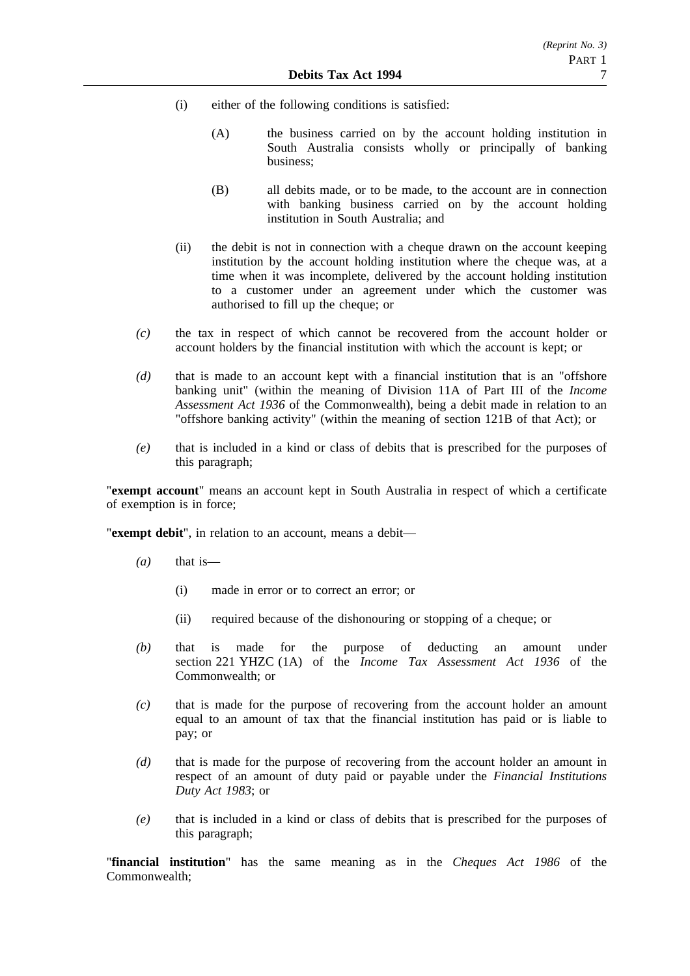- (i) either of the following conditions is satisfied:
	- (A) the business carried on by the account holding institution in South Australia consists wholly or principally of banking business;
	- (B) all debits made, or to be made, to the account are in connection with banking business carried on by the account holding institution in South Australia; and
- (ii) the debit is not in connection with a cheque drawn on the account keeping institution by the account holding institution where the cheque was, at a time when it was incomplete, delivered by the account holding institution to a customer under an agreement under which the customer was authorised to fill up the cheque; or
- *(c)* the tax in respect of which cannot be recovered from the account holder or account holders by the financial institution with which the account is kept; or
- *(d)* that is made to an account kept with a financial institution that is an "offshore banking unit" (within the meaning of Division 11A of Part III of the *Income Assessment Act 1936* of the Commonwealth), being a debit made in relation to an "offshore banking activity" (within the meaning of section 121B of that Act); or
- *(e)* that is included in a kind or class of debits that is prescribed for the purposes of this paragraph;

"**exempt account**" means an account kept in South Australia in respect of which a certificate of exemption is in force;

"**exempt debit**", in relation to an account, means a debit—

- *(a)* that is—
	- (i) made in error or to correct an error; or
	- (ii) required because of the dishonouring or stopping of a cheque; or
- *(b)* that is made for the purpose of deducting an amount under section 221 YHZC (1A) of the *Income Tax Assessment Act 1936* of the Commonwealth; or
- *(c)* that is made for the purpose of recovering from the account holder an amount equal to an amount of tax that the financial institution has paid or is liable to pay; or
- *(d)* that is made for the purpose of recovering from the account holder an amount in respect of an amount of duty paid or payable under the *Financial Institutions Duty Act 1983*; or
- *(e)* that is included in a kind or class of debits that is prescribed for the purposes of this paragraph;

"**financial institution**" has the same meaning as in the *Cheques Act 1986* of the Commonwealth;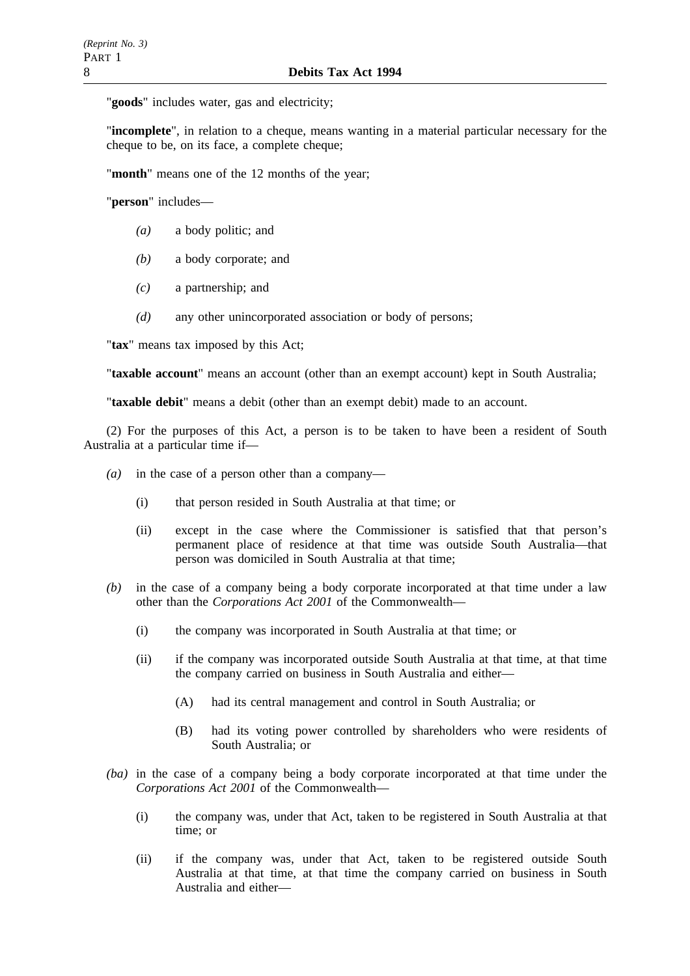"**goods**" includes water, gas and electricity;

"**incomplete**", in relation to a cheque, means wanting in a material particular necessary for the cheque to be, on its face, a complete cheque;

"**month**" means one of the 12 months of the year;

"**person**" includes—

- *(a)* a body politic; and
- *(b)* a body corporate; and
- *(c)* a partnership; and
- *(d)* any other unincorporated association or body of persons;

"**tax**" means tax imposed by this Act;

"**taxable account**" means an account (other than an exempt account) kept in South Australia;

"**taxable debit**" means a debit (other than an exempt debit) made to an account.

(2) For the purposes of this Act, a person is to be taken to have been a resident of South Australia at a particular time if—

- *(a)* in the case of a person other than a company—
	- (i) that person resided in South Australia at that time; or
	- (ii) except in the case where the Commissioner is satisfied that that person's permanent place of residence at that time was outside South Australia—that person was domiciled in South Australia at that time;
- *(b)* in the case of a company being a body corporate incorporated at that time under a law other than the *Corporations Act 2001* of the Commonwealth—
	- (i) the company was incorporated in South Australia at that time; or
	- (ii) if the company was incorporated outside South Australia at that time, at that time the company carried on business in South Australia and either—
		- (A) had its central management and control in South Australia; or
		- (B) had its voting power controlled by shareholders who were residents of South Australia; or
- *(ba)* in the case of a company being a body corporate incorporated at that time under the *Corporations Act 2001* of the Commonwealth—
	- (i) the company was, under that Act, taken to be registered in South Australia at that time; or
	- (ii) if the company was, under that Act, taken to be registered outside South Australia at that time, at that time the company carried on business in South Australia and either—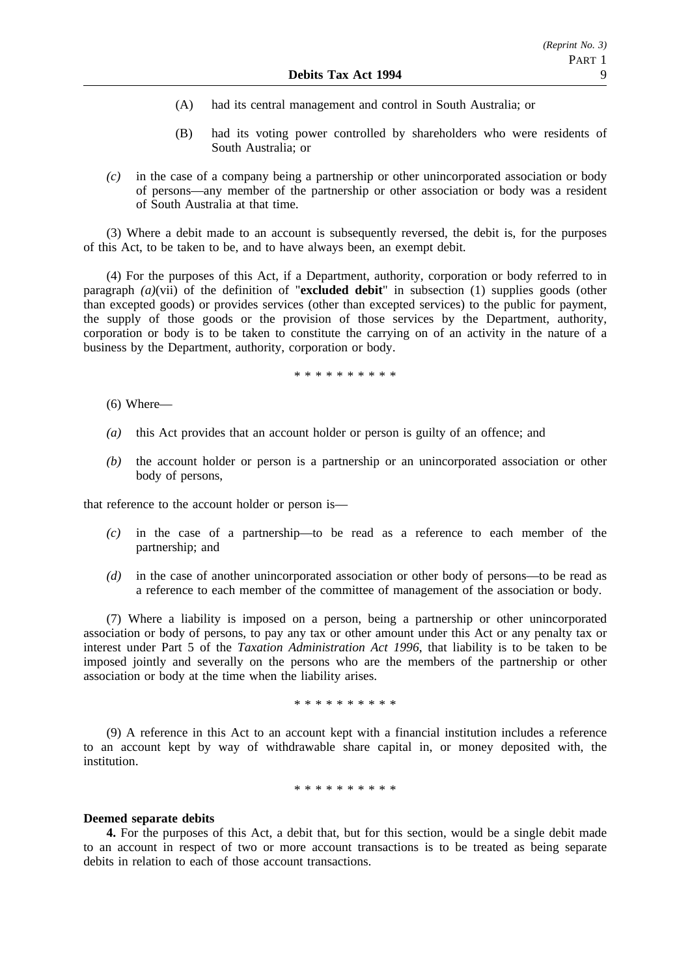- (A) had its central management and control in South Australia; or
- (B) had its voting power controlled by shareholders who were residents of South Australia; or
- *(c)* in the case of a company being a partnership or other unincorporated association or body of persons—any member of the partnership or other association or body was a resident of South Australia at that time.

(3) Where a debit made to an account is subsequently reversed, the debit is, for the purposes of this Act, to be taken to be, and to have always been, an exempt debit.

(4) For the purposes of this Act, if a Department, authority, corporation or body referred to in paragraph *(a)*(vii) of the definition of "**excluded debit**" in subsection (1) supplies goods (other than excepted goods) or provides services (other than excepted services) to the public for payment, the supply of those goods or the provision of those services by the Department, authority, corporation or body is to be taken to constitute the carrying on of an activity in the nature of a business by the Department, authority, corporation or body.

\*\*\*\*\*\*\*\*\*\*

- (6) Where—
- *(a)* this Act provides that an account holder or person is guilty of an offence; and
- *(b)* the account holder or person is a partnership or an unincorporated association or other body of persons,

that reference to the account holder or person is—

- *(c)* in the case of a partnership—to be read as a reference to each member of the partnership; and
- *(d)* in the case of another unincorporated association or other body of persons—to be read as a reference to each member of the committee of management of the association or body.

(7) Where a liability is imposed on a person, being a partnership or other unincorporated association or body of persons, to pay any tax or other amount under this Act or any penalty tax or interest under Part 5 of the *Taxation Administration Act 1996*, that liability is to be taken to be imposed jointly and severally on the persons who are the members of the partnership or other association or body at the time when the liability arises.

#### \*\*\*\*\*\*\*\*\*\*

(9) A reference in this Act to an account kept with a financial institution includes a reference to an account kept by way of withdrawable share capital in, or money deposited with, the institution.

\*\*\*\*\*\*\*\*\*\*

#### **Deemed separate debits**

**4.** For the purposes of this Act, a debit that, but for this section, would be a single debit made to an account in respect of two or more account transactions is to be treated as being separate debits in relation to each of those account transactions.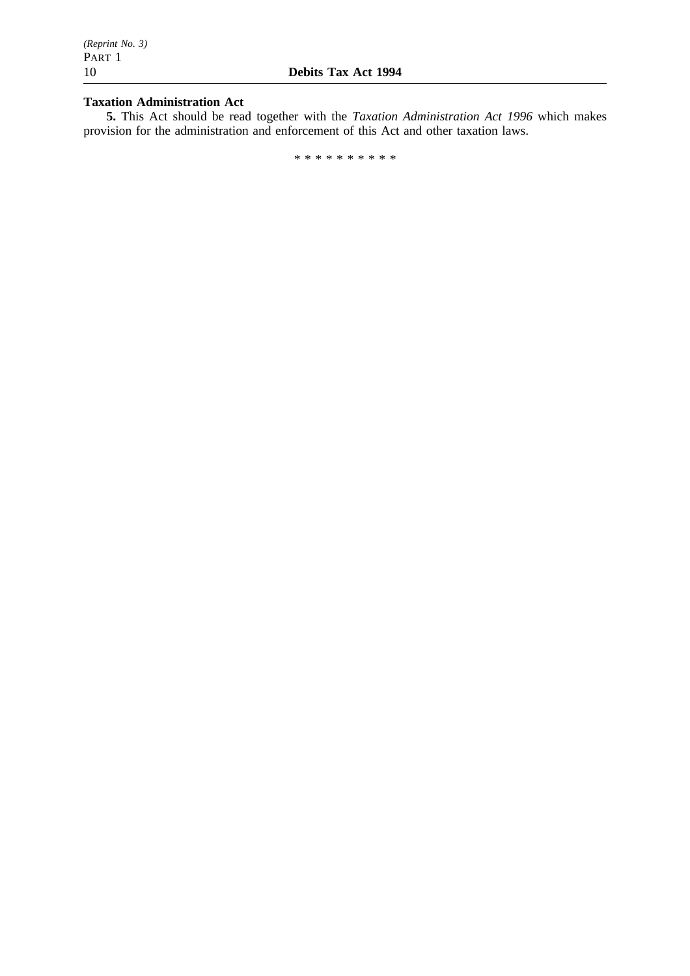### **Taxation Administration Act**

**5.** This Act should be read together with the *Taxation Administration Act 1996* which makes provision for the administration and enforcement of this Act and other taxation laws.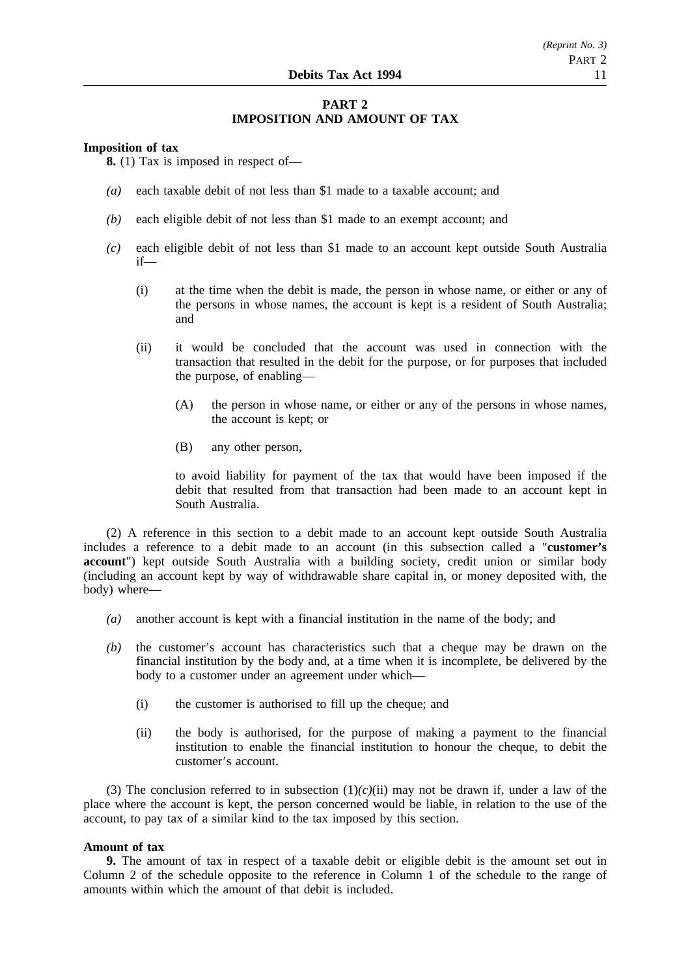### **PART 2 IMPOSITION AND AMOUNT OF TAX**

#### **Imposition of tax**

**8.** (1) Tax is imposed in respect of—

- *(a)* each taxable debit of not less than \$1 made to a taxable account; and
- *(b)* each eligible debit of not less than \$1 made to an exempt account; and
- *(c)* each eligible debit of not less than \$1 made to an account kept outside South Australia if—
	- (i) at the time when the debit is made, the person in whose name, or either or any of the persons in whose names, the account is kept is a resident of South Australia; and
	- (ii) it would be concluded that the account was used in connection with the transaction that resulted in the debit for the purpose, or for purposes that included the purpose, of enabling—
		- (A) the person in whose name, or either or any of the persons in whose names, the account is kept; or
		- (B) any other person,

to avoid liability for payment of the tax that would have been imposed if the debit that resulted from that transaction had been made to an account kept in South Australia.

(2) A reference in this section to a debit made to an account kept outside South Australia includes a reference to a debit made to an account (in this subsection called a "**customer's account**") kept outside South Australia with a building society, credit union or similar body (including an account kept by way of withdrawable share capital in, or money deposited with, the body) where—

- *(a)* another account is kept with a financial institution in the name of the body; and
- *(b)* the customer's account has characteristics such that a cheque may be drawn on the financial institution by the body and, at a time when it is incomplete, be delivered by the body to a customer under an agreement under which—
	- (i) the customer is authorised to fill up the cheque; and
	- (ii) the body is authorised, for the purpose of making a payment to the financial institution to enable the financial institution to honour the cheque, to debit the customer's account.

(3) The conclusion referred to in subsection  $(1)(c)(ii)$  may not be drawn if, under a law of the place where the account is kept, the person concerned would be liable, in relation to the use of the account, to pay tax of a similar kind to the tax imposed by this section.

#### **Amount of tax**

**9.** The amount of tax in respect of a taxable debit or eligible debit is the amount set out in Column 2 of the schedule opposite to the reference in Column 1 of the schedule to the range of amounts within which the amount of that debit is included.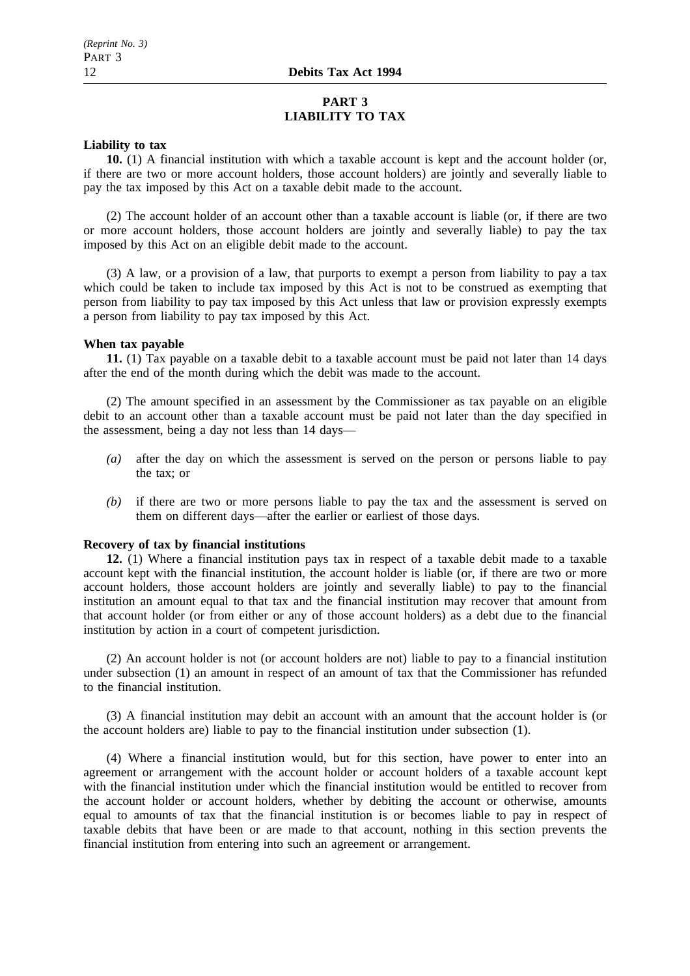### **PART 3 LIABILITY TO TAX**

#### **Liability to tax**

**10.** (1) A financial institution with which a taxable account is kept and the account holder (or, if there are two or more account holders, those account holders) are jointly and severally liable to pay the tax imposed by this Act on a taxable debit made to the account.

(2) The account holder of an account other than a taxable account is liable (or, if there are two or more account holders, those account holders are jointly and severally liable) to pay the tax imposed by this Act on an eligible debit made to the account.

(3) A law, or a provision of a law, that purports to exempt a person from liability to pay a tax which could be taken to include tax imposed by this Act is not to be construed as exempting that person from liability to pay tax imposed by this Act unless that law or provision expressly exempts a person from liability to pay tax imposed by this Act.

#### **When tax payable**

**11.** (1) Tax payable on a taxable debit to a taxable account must be paid not later than 14 days after the end of the month during which the debit was made to the account.

(2) The amount specified in an assessment by the Commissioner as tax payable on an eligible debit to an account other than a taxable account must be paid not later than the day specified in the assessment, being a day not less than 14 days—

- *(a)* after the day on which the assessment is served on the person or persons liable to pay the tax; or
- *(b)* if there are two or more persons liable to pay the tax and the assessment is served on them on different days—after the earlier or earliest of those days.

### **Recovery of tax by financial institutions**

**12.** (1) Where a financial institution pays tax in respect of a taxable debit made to a taxable account kept with the financial institution, the account holder is liable (or, if there are two or more account holders, those account holders are jointly and severally liable) to pay to the financial institution an amount equal to that tax and the financial institution may recover that amount from that account holder (or from either or any of those account holders) as a debt due to the financial institution by action in a court of competent jurisdiction.

(2) An account holder is not (or account holders are not) liable to pay to a financial institution under subsection (1) an amount in respect of an amount of tax that the Commissioner has refunded to the financial institution.

(3) A financial institution may debit an account with an amount that the account holder is (or the account holders are) liable to pay to the financial institution under subsection (1).

(4) Where a financial institution would, but for this section, have power to enter into an agreement or arrangement with the account holder or account holders of a taxable account kept with the financial institution under which the financial institution would be entitled to recover from the account holder or account holders, whether by debiting the account or otherwise, amounts equal to amounts of tax that the financial institution is or becomes liable to pay in respect of taxable debits that have been or are made to that account, nothing in this section prevents the financial institution from entering into such an agreement or arrangement.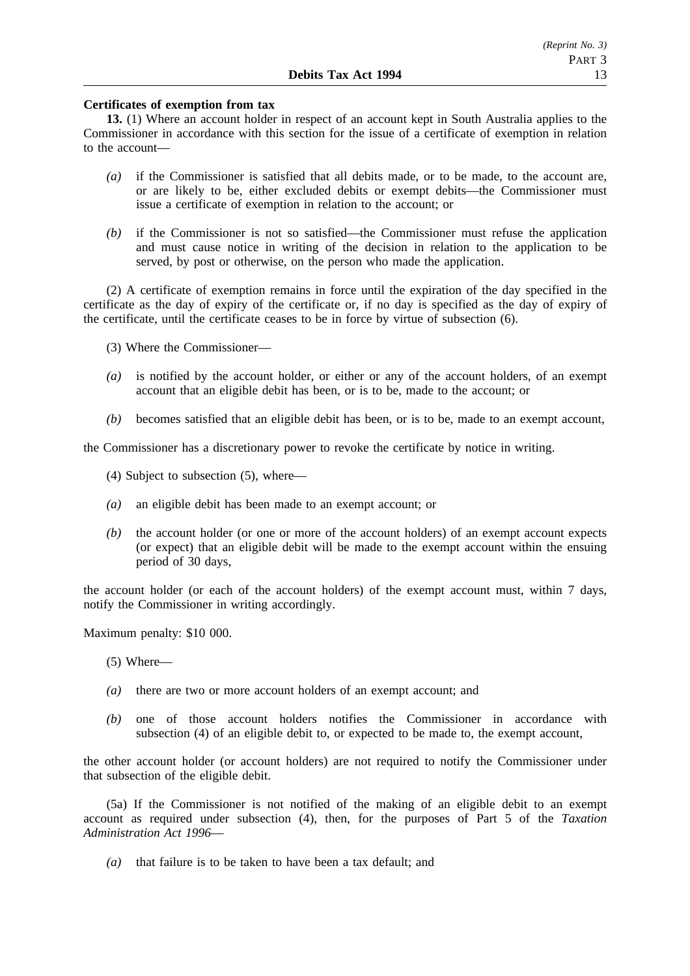#### **Certificates of exemption from tax**

**13.** (1) Where an account holder in respect of an account kept in South Australia applies to the Commissioner in accordance with this section for the issue of a certificate of exemption in relation to the account—

- *(a)* if the Commissioner is satisfied that all debits made, or to be made, to the account are, or are likely to be, either excluded debits or exempt debits—the Commissioner must issue a certificate of exemption in relation to the account; or
- *(b)* if the Commissioner is not so satisfied—the Commissioner must refuse the application and must cause notice in writing of the decision in relation to the application to be served, by post or otherwise, on the person who made the application.

(2) A certificate of exemption remains in force until the expiration of the day specified in the certificate as the day of expiry of the certificate or, if no day is specified as the day of expiry of the certificate, until the certificate ceases to be in force by virtue of subsection (6).

- (3) Where the Commissioner—
- *(a)* is notified by the account holder, or either or any of the account holders, of an exempt account that an eligible debit has been, or is to be, made to the account; or
- *(b)* becomes satisfied that an eligible debit has been, or is to be, made to an exempt account,

the Commissioner has a discretionary power to revoke the certificate by notice in writing.

- (4) Subject to subsection (5), where—
- *(a)* an eligible debit has been made to an exempt account; or
- *(b)* the account holder (or one or more of the account holders) of an exempt account expects (or expect) that an eligible debit will be made to the exempt account within the ensuing period of 30 days,

the account holder (or each of the account holders) of the exempt account must, within 7 days, notify the Commissioner in writing accordingly.

Maximum penalty: \$10 000.

(5) Where—

- *(a)* there are two or more account holders of an exempt account; and
- *(b)* one of those account holders notifies the Commissioner in accordance with subsection (4) of an eligible debit to, or expected to be made to, the exempt account,

the other account holder (or account holders) are not required to notify the Commissioner under that subsection of the eligible debit.

(5a) If the Commissioner is not notified of the making of an eligible debit to an exempt account as required under subsection (4), then, for the purposes of Part 5 of the *Taxation Administration Act 1996*—

*(a)* that failure is to be taken to have been a tax default; and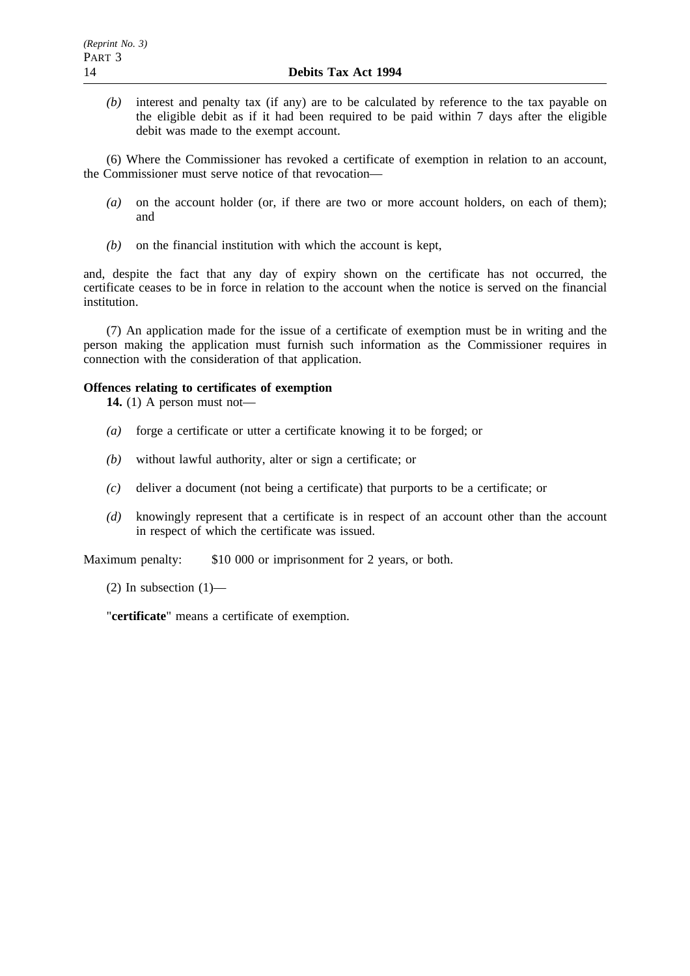*(b)* interest and penalty tax (if any) are to be calculated by reference to the tax payable on the eligible debit as if it had been required to be paid within 7 days after the eligible debit was made to the exempt account.

(6) Where the Commissioner has revoked a certificate of exemption in relation to an account, the Commissioner must serve notice of that revocation—

- *(a)* on the account holder (or, if there are two or more account holders, on each of them); and
- *(b)* on the financial institution with which the account is kept,

and, despite the fact that any day of expiry shown on the certificate has not occurred, the certificate ceases to be in force in relation to the account when the notice is served on the financial institution.

(7) An application made for the issue of a certificate of exemption must be in writing and the person making the application must furnish such information as the Commissioner requires in connection with the consideration of that application.

### **Offences relating to certificates of exemption**

**14.** (1) A person must not—

- *(a)* forge a certificate or utter a certificate knowing it to be forged; or
- *(b)* without lawful authority, alter or sign a certificate; or
- *(c)* deliver a document (not being a certificate) that purports to be a certificate; or
- *(d)* knowingly represent that a certificate is in respect of an account other than the account in respect of which the certificate was issued.

Maximum penalty: \$10 000 or imprisonment for 2 years, or both.

(2) In subsection  $(1)$ —

"**certificate**" means a certificate of exemption.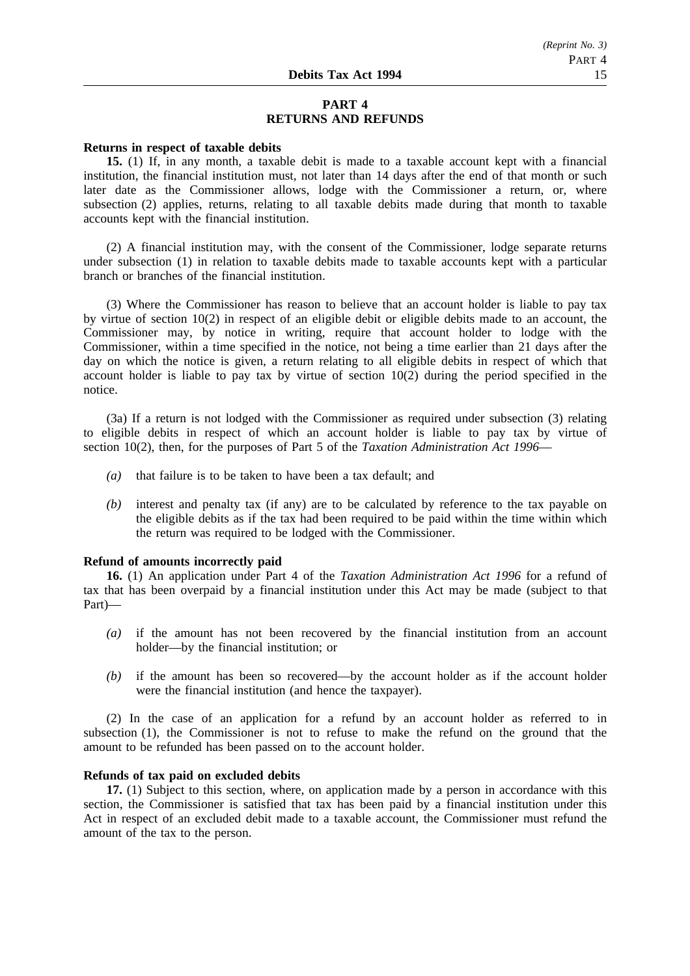### **PART 4 RETURNS AND REFUNDS**

#### **Returns in respect of taxable debits**

**15.** (1) If, in any month, a taxable debit is made to a taxable account kept with a financial institution, the financial institution must, not later than 14 days after the end of that month or such later date as the Commissioner allows, lodge with the Commissioner a return, or, where subsection (2) applies, returns, relating to all taxable debits made during that month to taxable accounts kept with the financial institution.

(2) A financial institution may, with the consent of the Commissioner, lodge separate returns under subsection (1) in relation to taxable debits made to taxable accounts kept with a particular branch or branches of the financial institution.

(3) Where the Commissioner has reason to believe that an account holder is liable to pay tax by virtue of section 10(2) in respect of an eligible debit or eligible debits made to an account, the Commissioner may, by notice in writing, require that account holder to lodge with the Commissioner, within a time specified in the notice, not being a time earlier than 21 days after the day on which the notice is given, a return relating to all eligible debits in respect of which that account holder is liable to pay tax by virtue of section 10(2) during the period specified in the notice.

(3a) If a return is not lodged with the Commissioner as required under subsection (3) relating to eligible debits in respect of which an account holder is liable to pay tax by virtue of section 10(2), then, for the purposes of Part 5 of the *Taxation Administration Act 1996*—

- *(a)* that failure is to be taken to have been a tax default; and
- *(b)* interest and penalty tax (if any) are to be calculated by reference to the tax payable on the eligible debits as if the tax had been required to be paid within the time within which the return was required to be lodged with the Commissioner.

#### **Refund of amounts incorrectly paid**

**16.** (1) An application under Part 4 of the *Taxation Administration Act 1996* for a refund of tax that has been overpaid by a financial institution under this Act may be made (subject to that Part)—

- *(a)* if the amount has not been recovered by the financial institution from an account holder—by the financial institution; or
- *(b)* if the amount has been so recovered—by the account holder as if the account holder were the financial institution (and hence the taxpayer).

(2) In the case of an application for a refund by an account holder as referred to in subsection (1), the Commissioner is not to refuse to make the refund on the ground that the amount to be refunded has been passed on to the account holder.

#### **Refunds of tax paid on excluded debits**

**17.** (1) Subject to this section, where, on application made by a person in accordance with this section, the Commissioner is satisfied that tax has been paid by a financial institution under this Act in respect of an excluded debit made to a taxable account, the Commissioner must refund the amount of the tax to the person.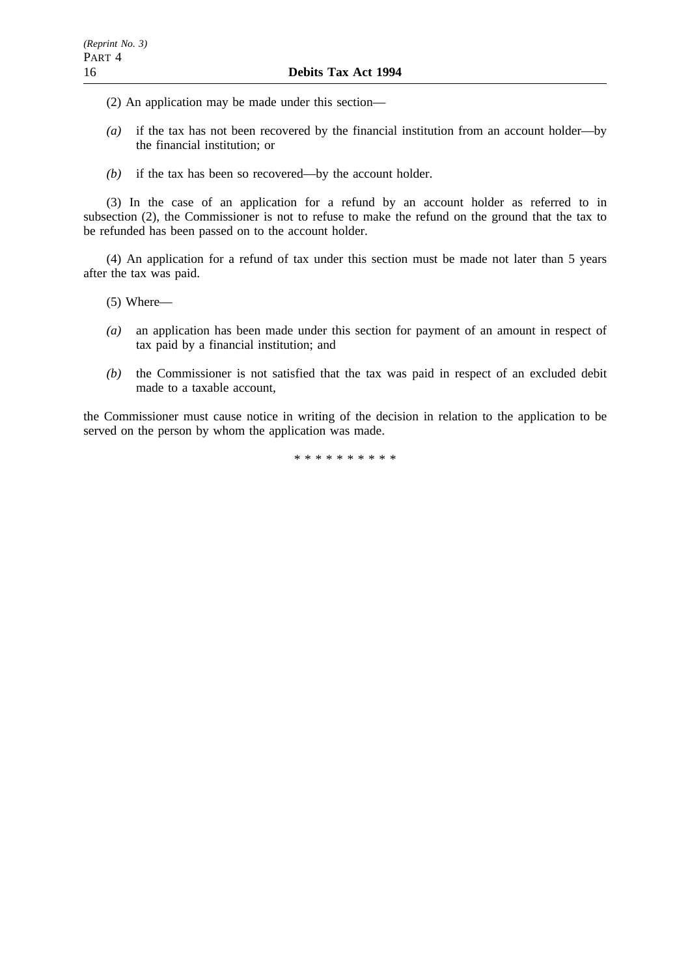- (2) An application may be made under this section—
- *(a)* if the tax has not been recovered by the financial institution from an account holder—by the financial institution; or
- *(b)* if the tax has been so recovered—by the account holder.

(3) In the case of an application for a refund by an account holder as referred to in subsection (2), the Commissioner is not to refuse to make the refund on the ground that the tax to be refunded has been passed on to the account holder.

(4) An application for a refund of tax under this section must be made not later than 5 years after the tax was paid.

(5) Where—

- *(a)* an application has been made under this section for payment of an amount in respect of tax paid by a financial institution; and
- *(b)* the Commissioner is not satisfied that the tax was paid in respect of an excluded debit made to a taxable account,

the Commissioner must cause notice in writing of the decision in relation to the application to be served on the person by whom the application was made.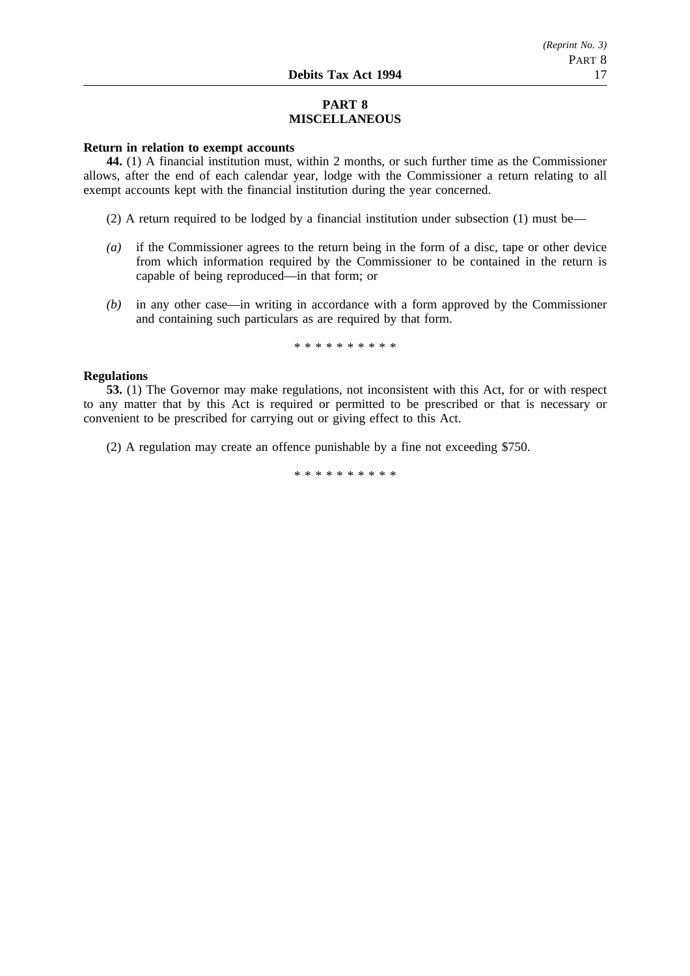### **PART 8 MISCELLANEOUS**

### **Return in relation to exempt accounts**

**44.** (1) A financial institution must, within 2 months, or such further time as the Commissioner allows, after the end of each calendar year, lodge with the Commissioner a return relating to all exempt accounts kept with the financial institution during the year concerned.

- (2) A return required to be lodged by a financial institution under subsection (1) must be—
- *(a)* if the Commissioner agrees to the return being in the form of a disc, tape or other device from which information required by the Commissioner to be contained in the return is capable of being reproduced—in that form; or
- *(b)* in any other case—in writing in accordance with a form approved by the Commissioner and containing such particulars as are required by that form.

\*\*\*\*\*\*\*\*\*\*

### **Regulations**

**53.** (1) The Governor may make regulations, not inconsistent with this Act, for or with respect to any matter that by this Act is required or permitted to be prescribed or that is necessary or convenient to be prescribed for carrying out or giving effect to this Act.

(2) A regulation may create an offence punishable by a fine not exceeding \$750.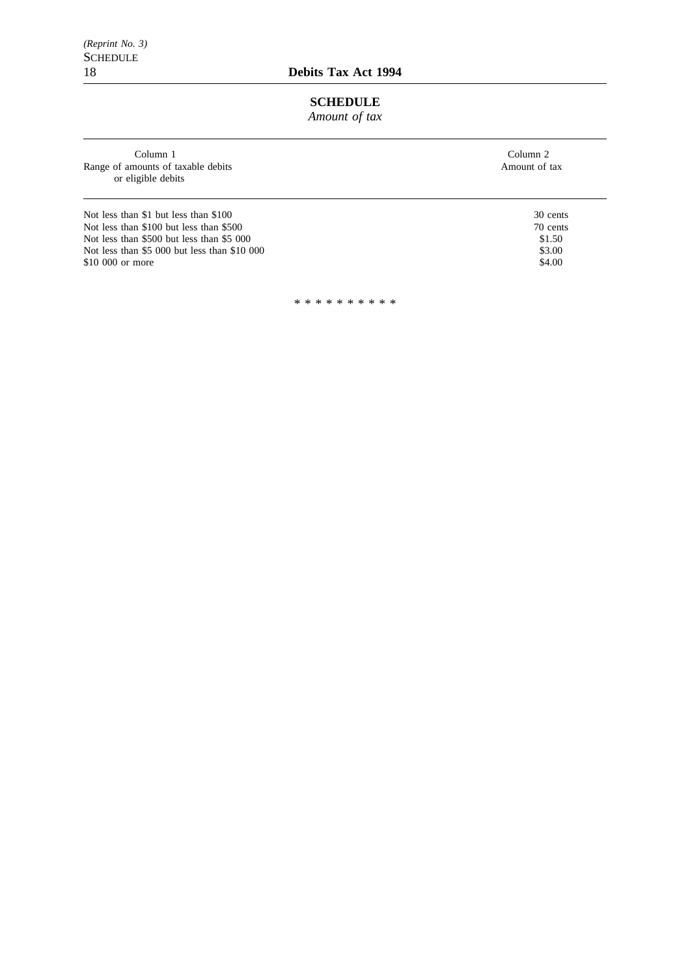*(Reprint No. 3)* SCHEDULE<br>18

# **SCHEDULE**

*Amount of tax*

| Column 1<br>Range of amounts of taxable debits<br>or eligible debits | Column 2<br>Amount of tax |
|----------------------------------------------------------------------|---------------------------|
| Not less than \$1 but less than \$100                                | 30 cents                  |
| Not less than \$100 but less than \$500                              | 70 cents                  |
| Not less than \$500 but less than \$5 000                            | \$1.50                    |
| Not less than \$5 000 but less than \$10 000                         | \$3.00                    |
| \$10,000 or more                                                     | \$4.00                    |